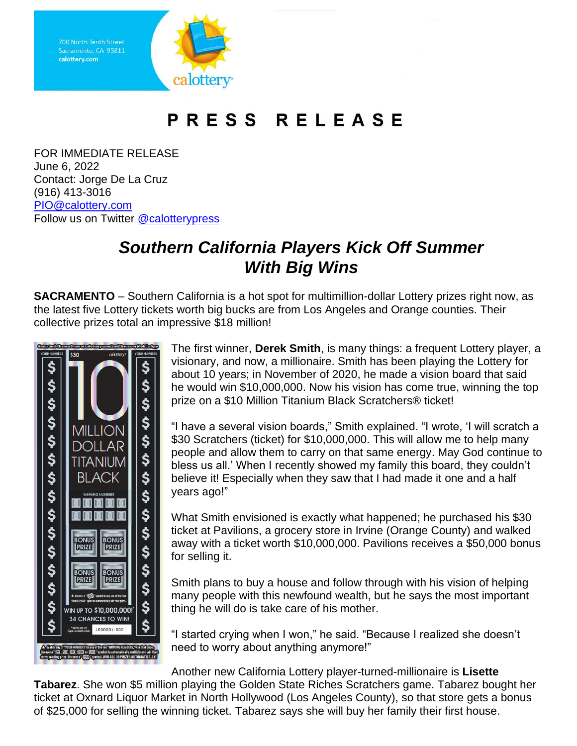Sacramento, CA 95811 calottery.com calottery

## PRESS RELEASE

FOR IMMEDIATE RELEASE June 6, 2022 Contact: Jorge De La Cruz (916) 413-3016 [PIO@calottery.com](mailto:PIO@calottery.com) Follow us on Twitter [@calotterypress](https://twitter.com/calotterypress)

## *Southern California Players Kick Off Summer With Big Wins*

**SACRAMENTO** – Southern California is a hot spot for multimillion-dollar Lottery prizes right now, as the latest five Lottery tickets worth big bucks are from Los Angeles and Orange counties. Their collective prizes total an impressive \$18 million!



The first winner, **Derek Smith**, is many things: a frequent Lottery player, a visionary, and now, a millionaire. Smith has been playing the Lottery for about 10 years; in November of 2020, he made a vision board that said he would win \$10,000,000. Now his vision has come true, winning the top prize on a \$10 Million Titanium Black Scratchers® ticket!

"I have a several vision boards," Smith explained. "I wrote, 'I will scratch a \$30 Scratchers (ticket) for \$10,000,000. This will allow me to help many people and allow them to carry on that same energy. May God continue to bless us all.' When I recently showed my family this board, they couldn't believe it! Especially when they saw that I had made it one and a half years ago!"

What Smith envisioned is exactly what happened; he purchased his \$30 ticket at Pavilions, a grocery store in Irvine (Orange County) and walked away with a ticket worth \$10,000,000. Pavilions receives a \$50,000 bonus for selling it.

Smith plans to buy a house and follow through with his vision of helping many people with this newfound wealth, but he says the most important thing he will do is take care of his mother.

"I started crying when I won," he said. "Because I realized she doesn't need to worry about anything anymore!"

Another new California Lottery player-turned-millionaire is **Lisette Tabarez**. She won \$5 million playing the Golden State Riches Scratchers game. Tabarez bought her ticket at Oxnard Liquor Market in North Hollywood (Los Angeles County), so that store gets a bonus of \$25,000 for selling the winning ticket. Tabarez says she will buy her family their first house.